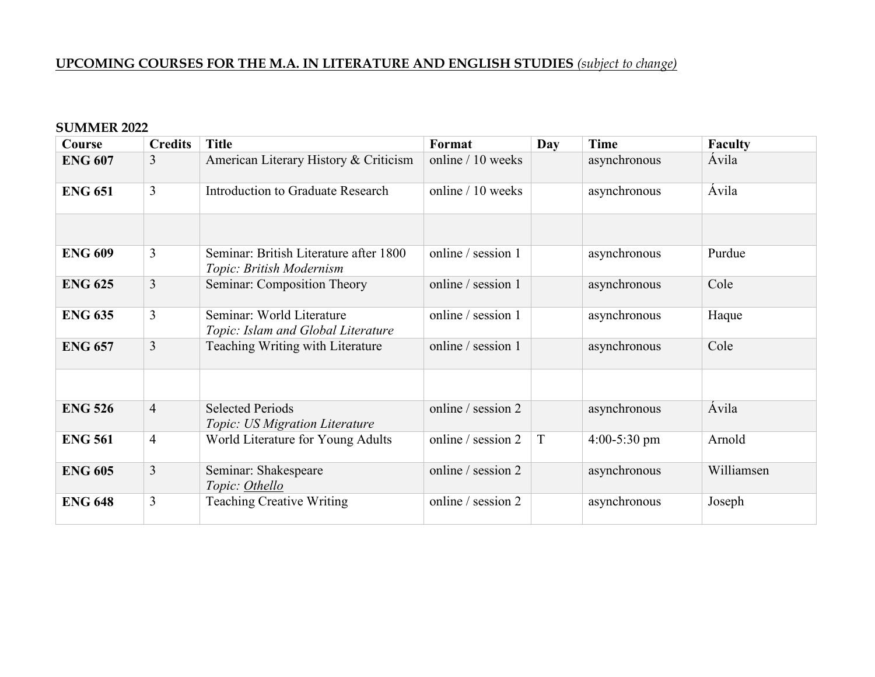# **UPCOMING COURSES FOR THE M.A. IN LITERATURE AND ENGLISH STUDIES** *(subject to change)*

#### **SUMMER 2022**

| Course         | <b>Credits</b> | <b>Title</b>                                                       | Format             | Day | Time           | <b>Faculty</b> |
|----------------|----------------|--------------------------------------------------------------------|--------------------|-----|----------------|----------------|
| <b>ENG 607</b> | 3              | American Literary History & Criticism                              | online / 10 weeks  |     | asynchronous   | Ávila          |
| <b>ENG 651</b> | 3              | Introduction to Graduate Research                                  | online / 10 weeks  |     | asynchronous   | Avila          |
|                |                |                                                                    |                    |     |                |                |
| <b>ENG 609</b> | 3              | Seminar: British Literature after 1800<br>Topic: British Modernism | online / session 1 |     | asynchronous   | Purdue         |
| <b>ENG 625</b> | $\overline{3}$ | Seminar: Composition Theory                                        | online / session 1 |     | asynchronous   | Cole           |
| <b>ENG 635</b> | $\overline{3}$ | Seminar: World Literature<br>Topic: Islam and Global Literature    | online / session 1 |     | asynchronous   | Haque          |
| <b>ENG 657</b> | $\overline{3}$ | Teaching Writing with Literature                                   | online / session 1 |     | asynchronous   | Cole           |
|                |                |                                                                    |                    |     |                |                |
| <b>ENG 526</b> | $\overline{4}$ | <b>Selected Periods</b><br>Topic: US Migration Literature          | online / session 2 |     | asynchronous   | Ávila          |
| <b>ENG 561</b> | $\overline{4}$ | World Literature for Young Adults                                  | online / session 2 | T   | $4:00-5:30$ pm | Arnold         |
| <b>ENG 605</b> | 3              | Seminar: Shakespeare<br>Topic: Othello                             | online / session 2 |     | asynchronous   | Williamsen     |
| <b>ENG 648</b> | $\overline{3}$ | <b>Teaching Creative Writing</b>                                   | online / session 2 |     | asynchronous   | Joseph         |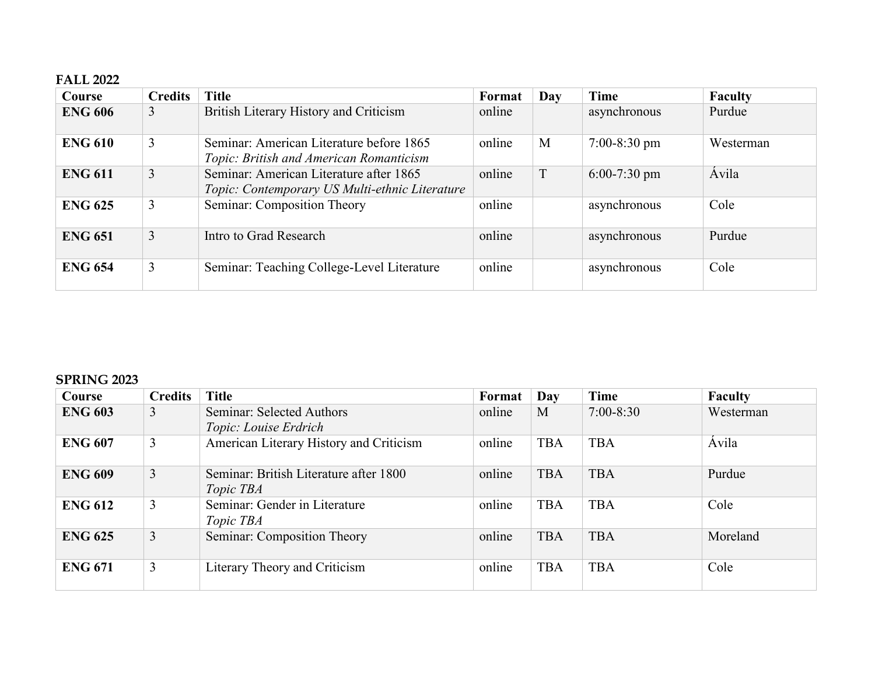## **FALL 2022**

| Course         | <b>Credits</b> | <b>Title</b>                                                                              | <b>Format</b> | Day | Time           | <b>Faculty</b> |
|----------------|----------------|-------------------------------------------------------------------------------------------|---------------|-----|----------------|----------------|
| <b>ENG 606</b> | 3              | British Literary History and Criticism                                                    | online        |     | asynchronous   | Purdue         |
| <b>ENG 610</b> | 3              | Seminar: American Literature before 1865<br>Topic: British and American Romanticism       | online        | M   | $7:00-8:30$ pm | Westerman      |
| <b>ENG 611</b> | 3              | Seminar: American Literature after 1865<br>Topic: Contemporary US Multi-ethnic Literature | online        | T   | $6:00-7:30$ pm | Ávila          |
| <b>ENG 625</b> | 3              | Seminar: Composition Theory                                                               | online        |     | asynchronous   | Cole           |
| <b>ENG 651</b> | $\overline{3}$ | Intro to Grad Research                                                                    | online        |     | asynchronous   | Purdue         |
| <b>ENG 654</b> | 3              | Seminar: Teaching College-Level Literature                                                | online        |     | asynchronous   | Cole           |

### **SPRING 2023**

| Course         | <b>Credits</b> | <b>Title</b>                                               | Format | Day        | Time          | Faculty   |
|----------------|----------------|------------------------------------------------------------|--------|------------|---------------|-----------|
| <b>ENG 603</b> | 3              | Seminar: Selected Authors<br>Topic: Louise Erdrich         | online | M          | $7:00 - 8:30$ | Westerman |
| <b>ENG 607</b> | 3              | American Literary History and Criticism                    | online | <b>TBA</b> | <b>TBA</b>    | Ávila     |
| <b>ENG 609</b> | 3              | Seminar: British Literature after 1800<br><i>Topic TBA</i> | online | <b>TBA</b> | <b>TBA</b>    | Purdue    |
| <b>ENG 612</b> | 3              | Seminar: Gender in Literature<br><i>Topic TBA</i>          | online | <b>TBA</b> | <b>TBA</b>    | Cole      |
| <b>ENG 625</b> | 3              | Seminar: Composition Theory                                | online | <b>TBA</b> | <b>TBA</b>    | Moreland  |
| <b>ENG 671</b> | 3              | Literary Theory and Criticism                              | online | <b>TBA</b> | <b>TBA</b>    | Cole      |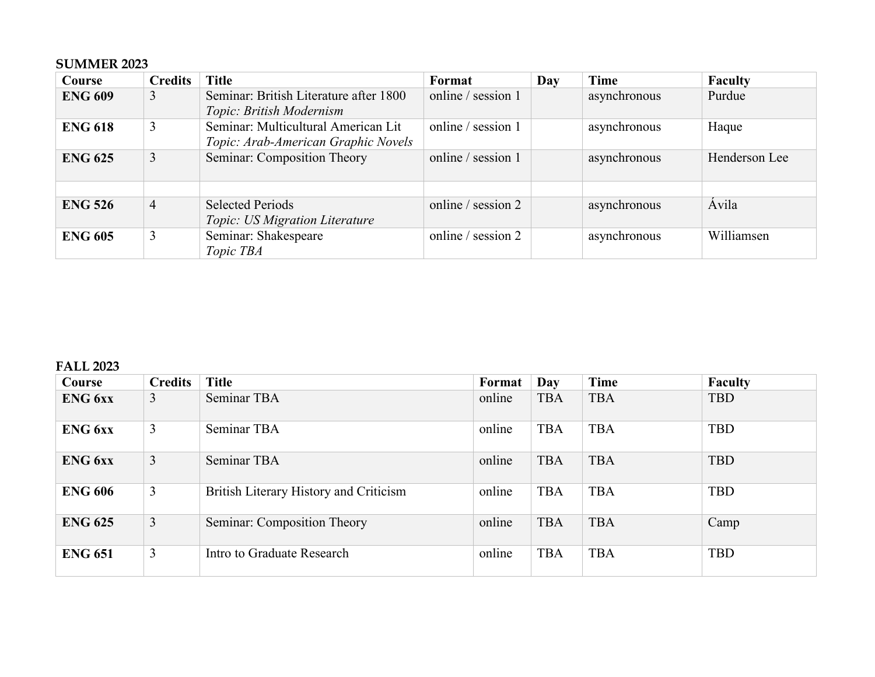## **SUMMER 2023**

| Course         | <b>Credits</b> | <b>Title</b>                                                               | Format             | Day | Time         | <b>Faculty</b> |
|----------------|----------------|----------------------------------------------------------------------------|--------------------|-----|--------------|----------------|
| <b>ENG 609</b> | 3              | Seminar: British Literature after 1800<br>Topic: British Modernism         | online / session 1 |     | asynchronous | Purdue         |
| <b>ENG 618</b> | 3              | Seminar: Multicultural American Lit<br>Topic: Arab-American Graphic Novels | online / session 1 |     | asynchronous | Haque          |
| <b>ENG 625</b> | 3              | Seminar: Composition Theory                                                | online / session 1 |     | asynchronous | Henderson Lee  |
| <b>ENG 526</b> | 4              | <b>Selected Periods</b><br>Topic: US Migration Literature                  | online / session 2 |     | asynchronous | Ávila          |
| <b>ENG 605</b> | 3              | Seminar: Shakespeare<br>Topic TBA                                          | online / session 2 |     | asynchronous | Williamsen     |

### **FALL 2023**

| Course         | <b>Credits</b> | <b>Title</b>                           | Format | Day        | <b>Time</b> | Faculty    |
|----------------|----------------|----------------------------------------|--------|------------|-------------|------------|
| <b>ENG</b> 6xx | 3              | Seminar TBA                            | online | <b>TBA</b> | <b>TBA</b>  | <b>TBD</b> |
| <b>ENG</b> 6xx | 3              | Seminar TBA                            | online | <b>TBA</b> | <b>TBA</b>  | <b>TBD</b> |
| <b>ENG</b> 6xx | 3              | Seminar TBA                            | online | <b>TBA</b> | <b>TBA</b>  | <b>TBD</b> |
| <b>ENG 606</b> | 3              | British Literary History and Criticism | online | <b>TBA</b> | <b>TBA</b>  | <b>TBD</b> |
| <b>ENG 625</b> | $\overline{3}$ | Seminar: Composition Theory            | online | <b>TBA</b> | <b>TBA</b>  | Camp       |
| <b>ENG 651</b> | 3              | Intro to Graduate Research             | online | <b>TBA</b> | <b>TBA</b>  | <b>TBD</b> |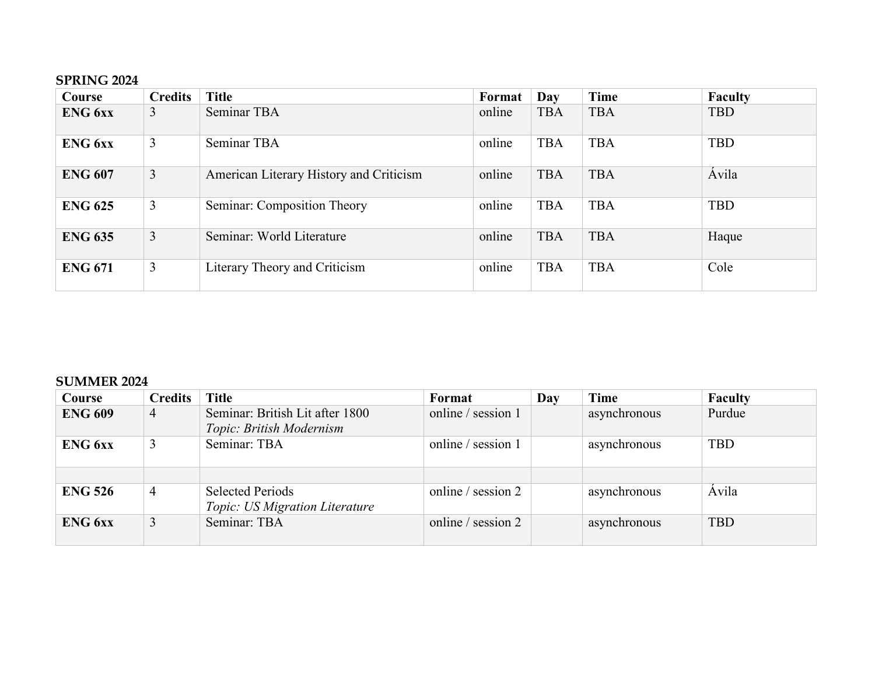## **SPRING 2024**

| Course         | <b>Credits</b> | <b>Title</b>                            | Format | Day        | Time       | <b>Faculty</b> |
|----------------|----------------|-----------------------------------------|--------|------------|------------|----------------|
| <b>ENG</b> 6xx | 3              | Seminar TBA                             | online | <b>TBA</b> | <b>TBA</b> | <b>TBD</b>     |
| <b>ENG</b> 6xx | 3              | Seminar TBA                             | online | <b>TBA</b> | <b>TBA</b> | <b>TBD</b>     |
| <b>ENG 607</b> | 3              | American Literary History and Criticism | online | <b>TBA</b> | <b>TBA</b> | Ávila          |
| <b>ENG 625</b> | 3              | Seminar: Composition Theory             | online | <b>TBA</b> | <b>TBA</b> | <b>TBD</b>     |
| <b>ENG 635</b> | $\overline{3}$ | Seminar: World Literature               | online | <b>TBA</b> | <b>TBA</b> | Haque          |
| <b>ENG 671</b> | 3              | Literary Theory and Criticism           | online | <b>TBA</b> | <b>TBA</b> | Cole           |

## **SUMMER 2024**

| Course         | <b>Credits</b> | <b>Title</b>                                                | Format               | Day | Time         | <b>Faculty</b> |
|----------------|----------------|-------------------------------------------------------------|----------------------|-----|--------------|----------------|
| <b>ENG 609</b> | 4              | Seminar: British Lit after 1800<br>Topic: British Modernism | online / session 1   |     | asynchronous | Purdue         |
| ENG 6xx        |                | Seminar: TBA                                                | online / session 1   |     | asynchronous | <b>TBD</b>     |
|                |                |                                                             |                      |     |              |                |
| <b>ENG 526</b> | 4              | <b>Selected Periods</b><br>Topic: US Migration Literature   | online / session 2   |     | asynchronous | <b>Avila</b>   |
| <b>ENG</b> 6xx | 3              | Seminar: TBA                                                | online / session $2$ |     | asynchronous | <b>TBD</b>     |